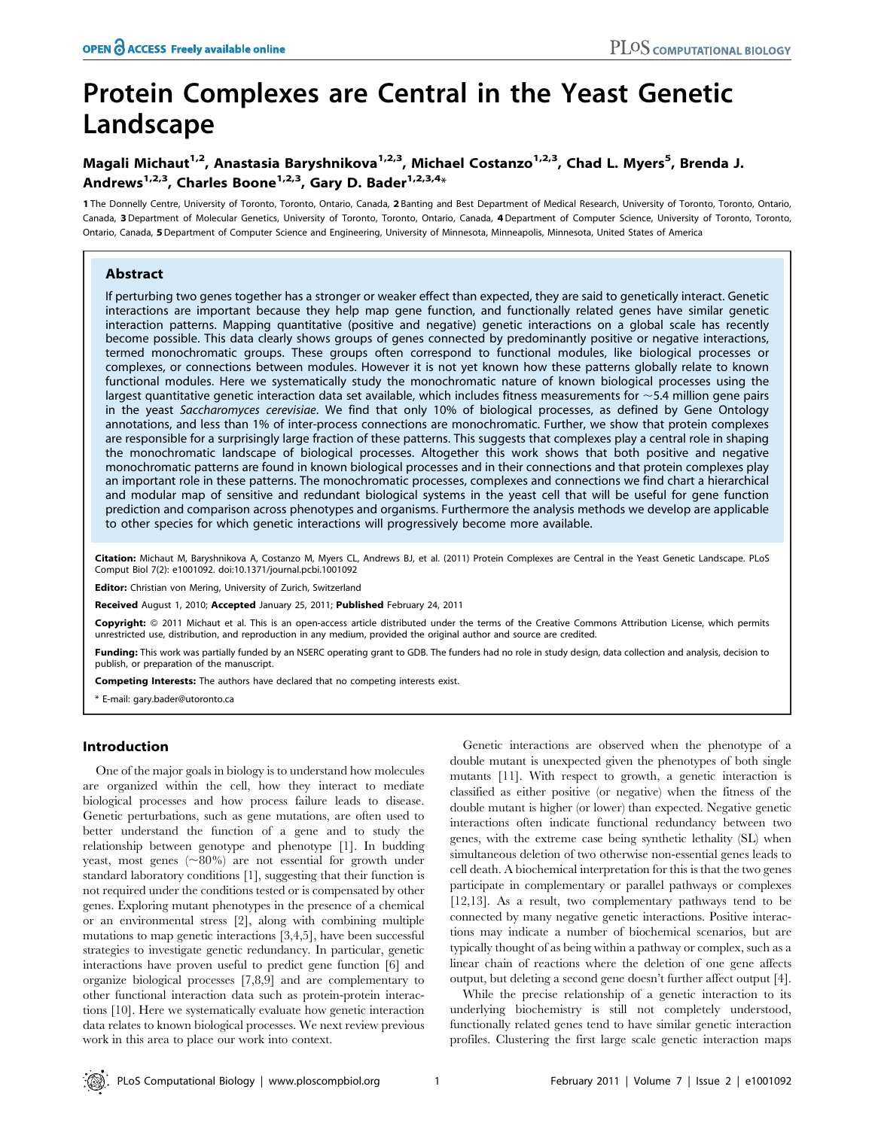# Protein Complexes are Central in the Yeast Genetic Landscape

## Magali Michaut<sup>1,2</sup>, Anastasia Baryshnikova<sup>1,2,3</sup>, Michael Costanzo<sup>1,2,3</sup>, Chad L. Myers<sup>5</sup>, Brenda J. Andrews<sup>1,2,3</sup>, Charles Boone<sup>1,2,3</sup>, Gary D. Bader<sup>1,2,3,4</sup>\*

1 The Donnelly Centre, University of Toronto, Toronto, Ontario, Canada, 2 Banting and Best Department of Medical Research, University of Toronto, Toronto, Ontario, Canada, 3 Department of Molecular Genetics, University of Toronto, Toronto, Ontario, Canada, 4Department of Computer Science, University of Toronto, Toronto, Ontario, Canada, 5 Department of Computer Science and Engineering, University of Minnesota, Minneapolis, Minnesota, United States of America

## Abstract

If perturbing two genes together has a stronger or weaker effect than expected, they are said to genetically interact. Genetic interactions are important because they help map gene function, and functionally related genes have similar genetic interaction patterns. Mapping quantitative (positive and negative) genetic interactions on a global scale has recently become possible. This data clearly shows groups of genes connected by predominantly positive or negative interactions, termed monochromatic groups. These groups often correspond to functional modules, like biological processes or complexes, or connections between modules. However it is not yet known how these patterns globally relate to known functional modules. Here we systematically study the monochromatic nature of known biological processes using the largest quantitative genetic interaction data set available, which includes fitness measurements for  $\sim$  5.4 million gene pairs in the yeast Saccharomyces cerevisiae. We find that only 10% of biological processes, as defined by Gene Ontology annotations, and less than 1% of inter-process connections are monochromatic. Further, we show that protein complexes are responsible for a surprisingly large fraction of these patterns. This suggests that complexes play a central role in shaping the monochromatic landscape of biological processes. Altogether this work shows that both positive and negative monochromatic patterns are found in known biological processes and in their connections and that protein complexes play an important role in these patterns. The monochromatic processes, complexes and connections we find chart a hierarchical and modular map of sensitive and redundant biological systems in the yeast cell that will be useful for gene function prediction and comparison across phenotypes and organisms. Furthermore the analysis methods we develop are applicable to other species for which genetic interactions will progressively become more available.

Citation: Michaut M, Baryshnikova A, Costanzo M, Myers CL, Andrews BJ, et al. (2011) Protein Complexes are Central in the Yeast Genetic Landscape. PLoS Comput Biol 7(2): e1001092. doi:10.1371/journal.pcbi.1001092

Editor: Christian von Mering, University of Zurich, Switzerland

Received August 1, 2010; Accepted January 25, 2011; Published February 24, 2011

Copyright: © 2011 Michaut et al. This is an open-access article distributed under the terms of the Creative Commons Attribution License, which permits unrestricted use, distribution, and reproduction in any medium, provided the original author and source are credited.

Funding: This work was partially funded by an NSERC operating grant to GDB. The funders had no role in study design, data collection and analysis, decision to publish, or preparation of the manuscript.

Competing Interests: The authors have declared that no competing interests exist.

\* E-mail: gary.bader@utoronto.ca

## Introduction

One of the major goals in biology is to understand how molecules are organized within the cell, how they interact to mediate biological processes and how process failure leads to disease. Genetic perturbations, such as gene mutations, are often used to better understand the function of a gene and to study the relationship between genotype and phenotype [1]. In budding yeast, most genes  $(\sim 80\%)$  are not essential for growth under standard laboratory conditions [1], suggesting that their function is not required under the conditions tested or is compensated by other genes. Exploring mutant phenotypes in the presence of a chemical or an environmental stress [2], along with combining multiple mutations to map genetic interactions [3,4,5], have been successful strategies to investigate genetic redundancy. In particular, genetic interactions have proven useful to predict gene function [6] and organize biological processes [7,8,9] and are complementary to other functional interaction data such as protein-protein interactions [10]. Here we systematically evaluate how genetic interaction data relates to known biological processes. We next review previous work in this area to place our work into context.

Genetic interactions are observed when the phenotype of a double mutant is unexpected given the phenotypes of both single mutants [11]. With respect to growth, a genetic interaction is classified as either positive (or negative) when the fitness of the double mutant is higher (or lower) than expected. Negative genetic interactions often indicate functional redundancy between two genes, with the extreme case being synthetic lethality (SL) when simultaneous deletion of two otherwise non-essential genes leads to cell death. A biochemical interpretation for this is that the two genes participate in complementary or parallel pathways or complexes [12,13]. As a result, two complementary pathways tend to be connected by many negative genetic interactions. Positive interactions may indicate a number of biochemical scenarios, but are typically thought of as being within a pathway or complex, such as a linear chain of reactions where the deletion of one gene affects output, but deleting a second gene doesn't further affect output [4].

While the precise relationship of a genetic interaction to its underlying biochemistry is still not completely understood, functionally related genes tend to have similar genetic interaction profiles. Clustering the first large scale genetic interaction maps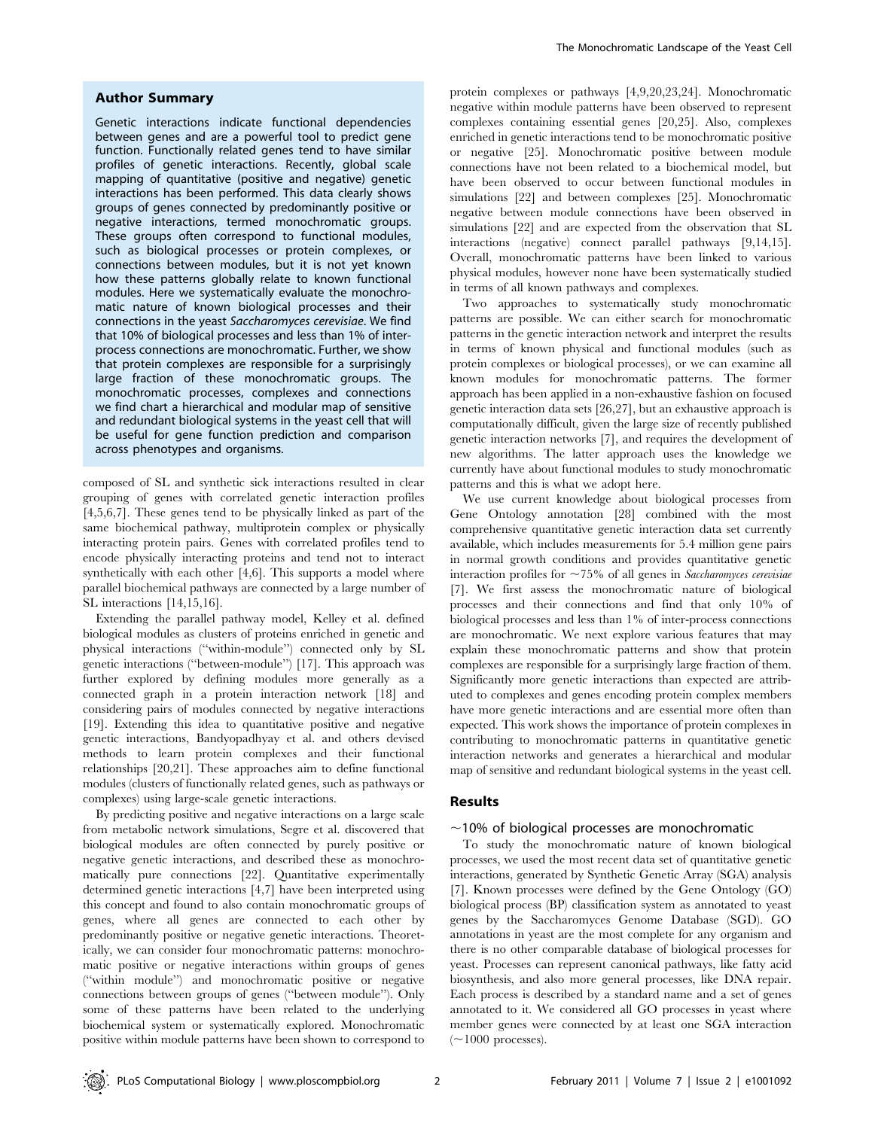#### Author Summary

Genetic interactions indicate functional dependencies between genes and are a powerful tool to predict gene function. Functionally related genes tend to have similar profiles of genetic interactions. Recently, global scale mapping of quantitative (positive and negative) genetic interactions has been performed. This data clearly shows groups of genes connected by predominantly positive or negative interactions, termed monochromatic groups. These groups often correspond to functional modules, such as biological processes or protein complexes, or connections between modules, but it is not yet known how these patterns globally relate to known functional modules. Here we systematically evaluate the monochromatic nature of known biological processes and their connections in the yeast Saccharomyces cerevisiae. We find that 10% of biological processes and less than 1% of interprocess connections are monochromatic. Further, we show that protein complexes are responsible for a surprisingly large fraction of these monochromatic groups. The monochromatic processes, complexes and connections we find chart a hierarchical and modular map of sensitive and redundant biological systems in the yeast cell that will be useful for gene function prediction and comparison across phenotypes and organisms.

composed of SL and synthetic sick interactions resulted in clear grouping of genes with correlated genetic interaction profiles [4,5,6,7]. These genes tend to be physically linked as part of the same biochemical pathway, multiprotein complex or physically interacting protein pairs. Genes with correlated profiles tend to encode physically interacting proteins and tend not to interact synthetically with each other [4,6]. This supports a model where parallel biochemical pathways are connected by a large number of SL interactions [14,15,16].

Extending the parallel pathway model, Kelley et al. defined biological modules as clusters of proteins enriched in genetic and physical interactions (''within-module'') connected only by SL genetic interactions (''between-module'') [17]. This approach was further explored by defining modules more generally as a connected graph in a protein interaction network [18] and considering pairs of modules connected by negative interactions [19]. Extending this idea to quantitative positive and negative genetic interactions, Bandyopadhyay et al. and others devised methods to learn protein complexes and their functional relationships [20,21]. These approaches aim to define functional modules (clusters of functionally related genes, such as pathways or complexes) using large-scale genetic interactions.

By predicting positive and negative interactions on a large scale from metabolic network simulations, Segre et al. discovered that biological modules are often connected by purely positive or negative genetic interactions, and described these as monochromatically pure connections [22]. Quantitative experimentally determined genetic interactions [4,7] have been interpreted using this concept and found to also contain monochromatic groups of genes, where all genes are connected to each other by predominantly positive or negative genetic interactions. Theoretically, we can consider four monochromatic patterns: monochromatic positive or negative interactions within groups of genes (''within module'') and monochromatic positive or negative connections between groups of genes (''between module''). Only some of these patterns have been related to the underlying biochemical system or systematically explored. Monochromatic positive within module patterns have been shown to correspond to

protein complexes or pathways [4,9,20,23,24]. Monochromatic negative within module patterns have been observed to represent complexes containing essential genes [20,25]. Also, complexes enriched in genetic interactions tend to be monochromatic positive or negative [25]. Monochromatic positive between module connections have not been related to a biochemical model, but have been observed to occur between functional modules in simulations [22] and between complexes [25]. Monochromatic negative between module connections have been observed in simulations [22] and are expected from the observation that SL interactions (negative) connect parallel pathways [9,14,15]. Overall, monochromatic patterns have been linked to various physical modules, however none have been systematically studied in terms of all known pathways and complexes.

Two approaches to systematically study monochromatic patterns are possible. We can either search for monochromatic patterns in the genetic interaction network and interpret the results in terms of known physical and functional modules (such as protein complexes or biological processes), or we can examine all known modules for monochromatic patterns. The former approach has been applied in a non-exhaustive fashion on focused genetic interaction data sets [26,27], but an exhaustive approach is computationally difficult, given the large size of recently published genetic interaction networks [7], and requires the development of new algorithms. The latter approach uses the knowledge we currently have about functional modules to study monochromatic patterns and this is what we adopt here.

We use current knowledge about biological processes from Gene Ontology annotation [28] combined with the most comprehensive quantitative genetic interaction data set currently available, which includes measurements for 5.4 million gene pairs in normal growth conditions and provides quantitative genetic interaction profiles for  $\sim$  75% of all genes in Saccharomyces cerevisiae [7]. We first assess the monochromatic nature of biological processes and their connections and find that only 10% of biological processes and less than 1% of inter-process connections are monochromatic. We next explore various features that may explain these monochromatic patterns and show that protein complexes are responsible for a surprisingly large fraction of them. Significantly more genetic interactions than expected are attributed to complexes and genes encoding protein complex members have more genetic interactions and are essential more often than expected. This work shows the importance of protein complexes in contributing to monochromatic patterns in quantitative genetic interaction networks and generates a hierarchical and modular map of sensitive and redundant biological systems in the yeast cell.

## Results

#### $\sim$ 10% of biological processes are monochromatic

To study the monochromatic nature of known biological processes, we used the most recent data set of quantitative genetic interactions, generated by Synthetic Genetic Array (SGA) analysis [7]. Known processes were defined by the Gene Ontology (GO) biological process (BP) classification system as annotated to yeast genes by the Saccharomyces Genome Database (SGD). GO annotations in yeast are the most complete for any organism and there is no other comparable database of biological processes for yeast. Processes can represent canonical pathways, like fatty acid biosynthesis, and also more general processes, like DNA repair. Each process is described by a standard name and a set of genes annotated to it. We considered all GO processes in yeast where member genes were connected by at least one SGA interaction  $(\sim1000$  processes).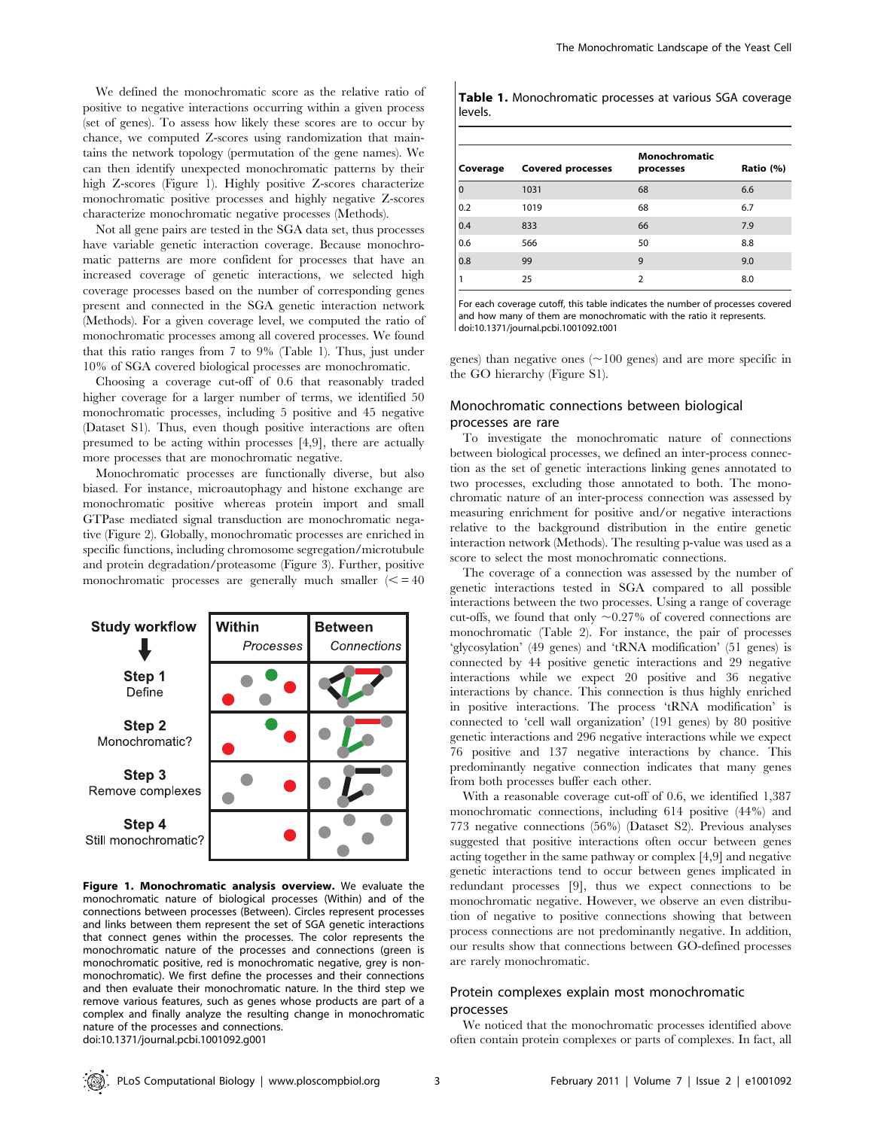We defined the monochromatic score as the relative ratio of positive to negative interactions occurring within a given process (set of genes). To assess how likely these scores are to occur by chance, we computed Z-scores using randomization that maintains the network topology (permutation of the gene names). We can then identify unexpected monochromatic patterns by their high Z-scores (Figure 1). Highly positive Z-scores characterize monochromatic positive processes and highly negative Z-scores characterize monochromatic negative processes (Methods).

Not all gene pairs are tested in the SGA data set, thus processes have variable genetic interaction coverage. Because monochromatic patterns are more confident for processes that have an increased coverage of genetic interactions, we selected high coverage processes based on the number of corresponding genes present and connected in the SGA genetic interaction network (Methods). For a given coverage level, we computed the ratio of monochromatic processes among all covered processes. We found that this ratio ranges from 7 to 9% (Table 1). Thus, just under 10% of SGA covered biological processes are monochromatic.

Choosing a coverage cut-off of 0.6 that reasonably traded higher coverage for a larger number of terms, we identified 50 monochromatic processes, including 5 positive and 45 negative (Dataset S1). Thus, even though positive interactions are often presumed to be acting within processes [4,9], there are actually more processes that are monochromatic negative.

Monochromatic processes are functionally diverse, but also biased. For instance, microautophagy and histone exchange are monochromatic positive whereas protein import and small GTPase mediated signal transduction are monochromatic negative (Figure 2). Globally, monochromatic processes are enriched in specific functions, including chromosome segregation/microtubule and protein degradation/proteasome (Figure 3). Further, positive monochromatic processes are generally much smaller  $\ll 140$ 



Figure 1. Monochromatic analysis overview. We evaluate the monochromatic nature of biological processes (Within) and of the connections between processes (Between). Circles represent processes and links between them represent the set of SGA genetic interactions that connect genes within the processes. The color represents the monochromatic nature of the processes and connections (green is monochromatic positive, red is monochromatic negative, grey is nonmonochromatic). We first define the processes and their connections and then evaluate their monochromatic nature. In the third step we remove various features, such as genes whose products are part of a complex and finally analyze the resulting change in monochromatic nature of the processes and connections. doi:10.1371/journal.pcbi.1001092.g001

Table 1. Monochromatic processes at various SGA coverage levels.

| Coverage | <b>Covered processes</b> | <b>Monochromatic</b><br>processes | Ratio (%) |  |  |
|----------|--------------------------|-----------------------------------|-----------|--|--|
| 0        | 1031                     | 68                                | 6.6       |  |  |
| 0.2      | 1019                     | 68                                | 6.7       |  |  |
| 0.4      | 833                      | 66                                | 7.9       |  |  |
| 0.6      | 566                      | 50                                | 8.8       |  |  |
| 0.8      | 99                       | 9                                 | 9.0       |  |  |
|          | 25                       | $\mathcal{P}$                     | 8.0       |  |  |

For each coverage cutoff, this table indicates the number of processes covered and how many of them are monochromatic with the ratio it represents. doi:10.1371/journal.pcbi.1001092.t001

genes) than negative ones  $(\sim 100$  genes) and are more specific in the GO hierarchy (Figure S1).

## Monochromatic connections between biological processes are rare

To investigate the monochromatic nature of connections between biological processes, we defined an inter-process connection as the set of genetic interactions linking genes annotated to two processes, excluding those annotated to both. The monochromatic nature of an inter-process connection was assessed by measuring enrichment for positive and/or negative interactions relative to the background distribution in the entire genetic interaction network (Methods). The resulting p-value was used as a score to select the most monochromatic connections.

The coverage of a connection was assessed by the number of genetic interactions tested in SGA compared to all possible interactions between the two processes. Using a range of coverage cut-offs, we found that only  $\sim 0.27\%$  of covered connections are monochromatic (Table 2). For instance, the pair of processes 'glycosylation' (49 genes) and 'tRNA modification' (51 genes) is connected by 44 positive genetic interactions and 29 negative interactions while we expect 20 positive and 36 negative interactions by chance. This connection is thus highly enriched in positive interactions. The process 'tRNA modification' is connected to 'cell wall organization' (191 genes) by 80 positive genetic interactions and 296 negative interactions while we expect 76 positive and 137 negative interactions by chance. This predominantly negative connection indicates that many genes from both processes buffer each other.

With a reasonable coverage cut-off of 0.6, we identified 1,387 monochromatic connections, including 614 positive (44%) and 773 negative connections (56%) (Dataset S2). Previous analyses suggested that positive interactions often occur between genes acting together in the same pathway or complex [4,9] and negative genetic interactions tend to occur between genes implicated in redundant processes [9], thus we expect connections to be monochromatic negative. However, we observe an even distribution of negative to positive connections showing that between process connections are not predominantly negative. In addition, our results show that connections between GO-defined processes are rarely monochromatic.

## Protein complexes explain most monochromatic processes

We noticed that the monochromatic processes identified above often contain protein complexes or parts of complexes. In fact, all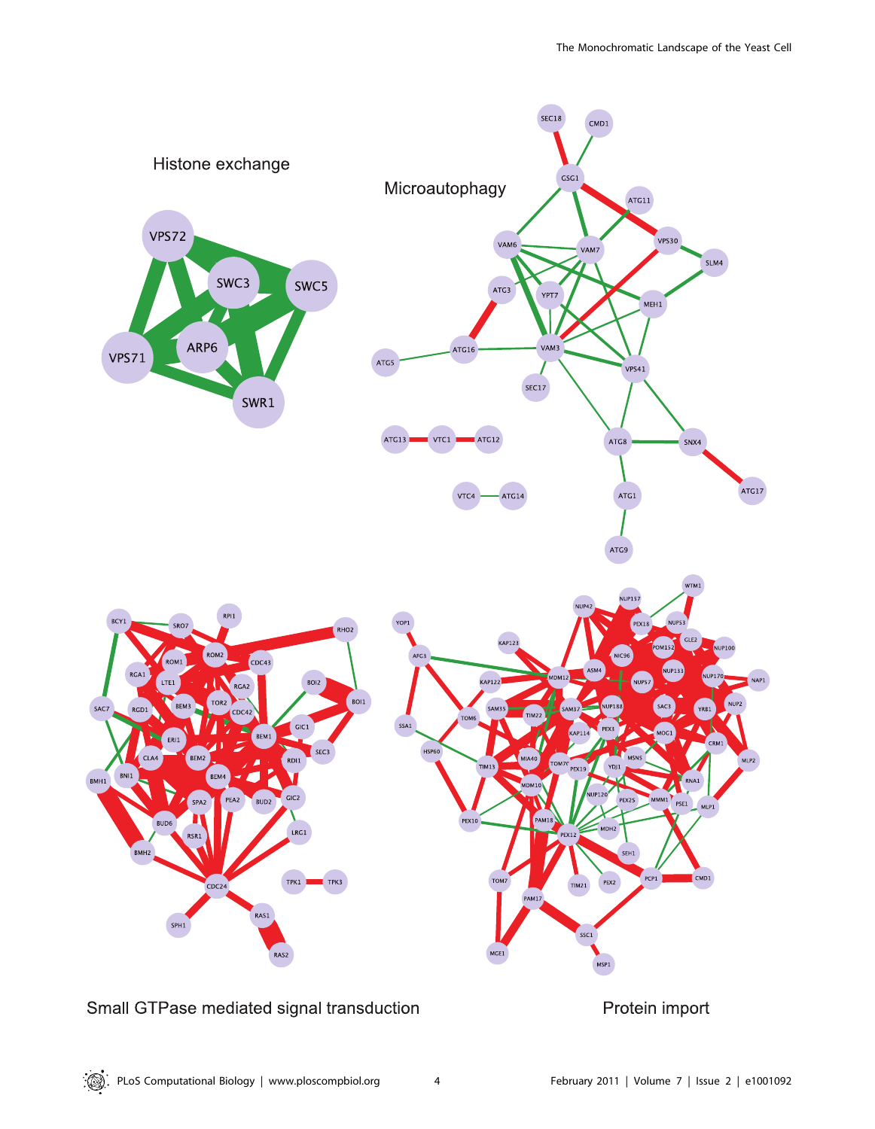

Small GTPase mediated signal transduction

Protein import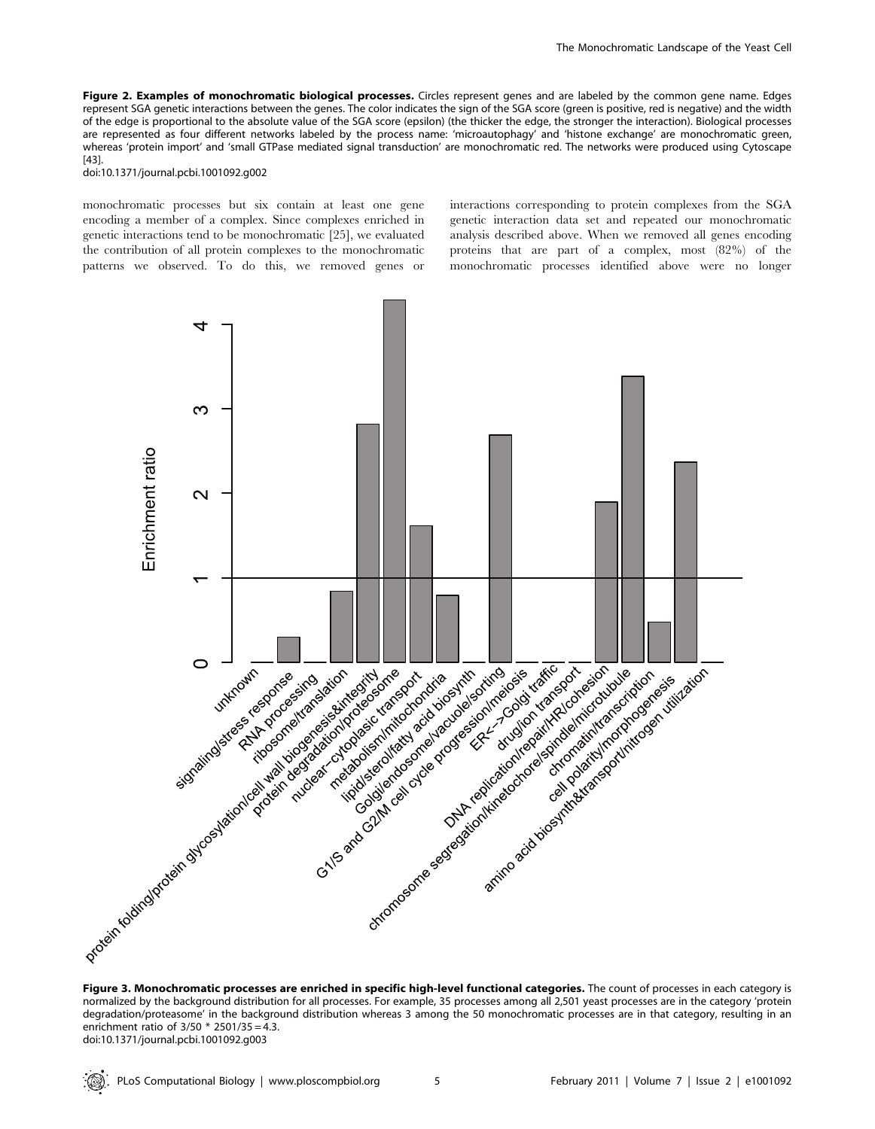Figure 2. Examples of monochromatic biological processes. Circles represent genes and are labeled by the common gene name. Edges represent SGA genetic interactions between the genes. The color indicates the sign of the SGA score (green is positive, red is negative) and the width of the edge is proportional to the absolute value of the SGA score (epsilon) (the thicker the edge, the stronger the interaction). Biological processes are represented as four different networks labeled by the process name: 'microautophagy' and 'histone exchange' are monochromatic green, whereas 'protein import' and 'small GTPase mediated signal transduction' are monochromatic red. The networks were produced using Cytoscape [43].

doi:10.1371/journal.pcbi.1001092.g002

monochromatic processes but six contain at least one gene encoding a member of a complex. Since complexes enriched in genetic interactions tend to be monochromatic [25], we evaluated the contribution of all protein complexes to the monochromatic patterns we observed. To do this, we removed genes or

interactions corresponding to protein complexes from the SGA genetic interaction data set and repeated our monochromatic analysis described above. When we removed all genes encoding proteins that are part of a complex, most (82%) of the monochromatic processes identified above were no longer



normalized by the background distribution for all processes. For example, 35 processes among all 2,501 yeast processes are in the category 'protein degradation/proteasome' in the background distribution whereas 3 among the 50 monochromatic processes are in that category, resulting in an enrichment ratio of 3/50 \* 2501/35 = 4.3. doi:10.1371/journal.pcbi.1001092.g003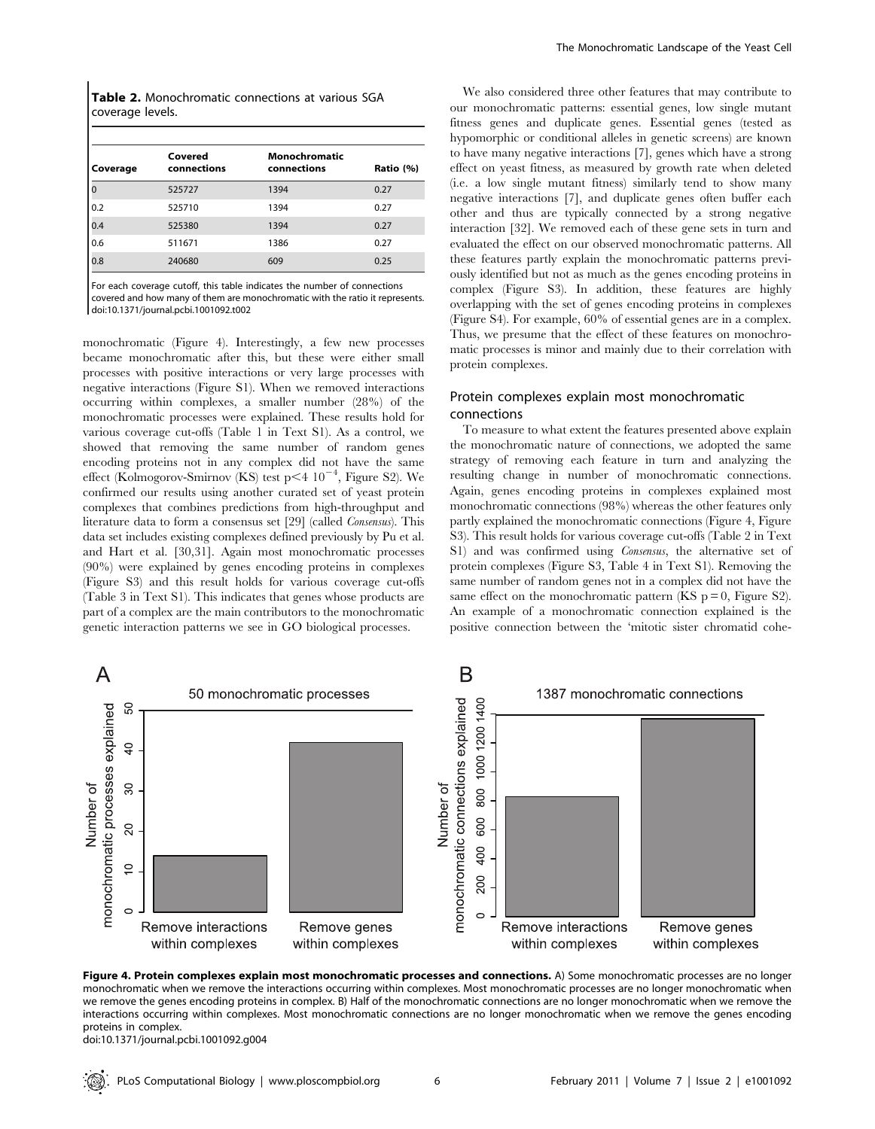Table 2. Monochromatic connections at various SGA coverage levels.

| Coverage | Covered<br>connections | <b>Monochromatic</b><br>connections | Ratio (%) |
|----------|------------------------|-------------------------------------|-----------|
|          | 525727                 | 1394                                | 0.27      |
| 0.2      | 525710                 | 1394                                | 0.27      |
| 0.4      | 525380                 | 1394                                | 0.27      |
| 0.6      | 511671                 | 1386                                | 0.27      |
| 0.8      | 240680                 | 609                                 | 0.25      |

For each coverage cutoff, this table indicates the number of connections

covered and how many of them are monochromatic with the ratio it represents. doi:10.1371/journal.pcbi.1001092.t002

monochromatic (Figure 4). Interestingly, a few new processes became monochromatic after this, but these were either small processes with positive interactions or very large processes with negative interactions (Figure S1). When we removed interactions occurring within complexes, a smaller number (28%) of the monochromatic processes were explained. These results hold for various coverage cut-offs (Table 1 in Text S1). As a control, we showed that removing the same number of random genes encoding proteins not in any complex did not have the same effect (Kolmogorov-Smirnov (KS) test p $\leq 4 \ 10^{-4}$ , Figure S2). We confirmed our results using another curated set of yeast protein complexes that combines predictions from high-throughput and literature data to form a consensus set [29] (called Consensus). This data set includes existing complexes defined previously by Pu et al. and Hart et al. [30,31]. Again most monochromatic processes (90%) were explained by genes encoding proteins in complexes (Figure S3) and this result holds for various coverage cut-offs (Table 3 in Text S1). This indicates that genes whose products are part of a complex are the main contributors to the monochromatic genetic interaction patterns we see in GO biological processes.

We also considered three other features that may contribute to our monochromatic patterns: essential genes, low single mutant fitness genes and duplicate genes. Essential genes (tested as hypomorphic or conditional alleles in genetic screens) are known to have many negative interactions [7], genes which have a strong effect on yeast fitness, as measured by growth rate when deleted (i.e. a low single mutant fitness) similarly tend to show many negative interactions [7], and duplicate genes often buffer each other and thus are typically connected by a strong negative interaction [32]. We removed each of these gene sets in turn and evaluated the effect on our observed monochromatic patterns. All these features partly explain the monochromatic patterns previously identified but not as much as the genes encoding proteins in complex (Figure S3). In addition, these features are highly overlapping with the set of genes encoding proteins in complexes (Figure S4). For example, 60% of essential genes are in a complex. Thus, we presume that the effect of these features on monochromatic processes is minor and mainly due to their correlation with protein complexes.

## Protein complexes explain most monochromatic connections

To measure to what extent the features presented above explain the monochromatic nature of connections, we adopted the same strategy of removing each feature in turn and analyzing the resulting change in number of monochromatic connections. Again, genes encoding proteins in complexes explained most monochromatic connections (98%) whereas the other features only partly explained the monochromatic connections (Figure 4, Figure S3). This result holds for various coverage cut-offs (Table 2 in Text S1) and was confirmed using *Consensus*, the alternative set of protein complexes (Figure S3, Table 4 in Text S1). Removing the same number of random genes not in a complex did not have the same effect on the monochromatic pattern (KS  $p = 0$ , Figure S2). An example of a monochromatic connection explained is the positive connection between the 'mitotic sister chromatid cohe-



Figure 4. Protein complexes explain most monochromatic processes and connections. A) Some monochromatic processes are no longer monochromatic when we remove the interactions occurring within complexes. Most monochromatic processes are no longer monochromatic when we remove the genes encoding proteins in complex. B) Half of the monochromatic connections are no longer monochromatic when we remove the interactions occurring within complexes. Most monochromatic connections are no longer monochromatic when we remove the genes encoding proteins in complex.

doi:10.1371/journal.pcbi.1001092.g004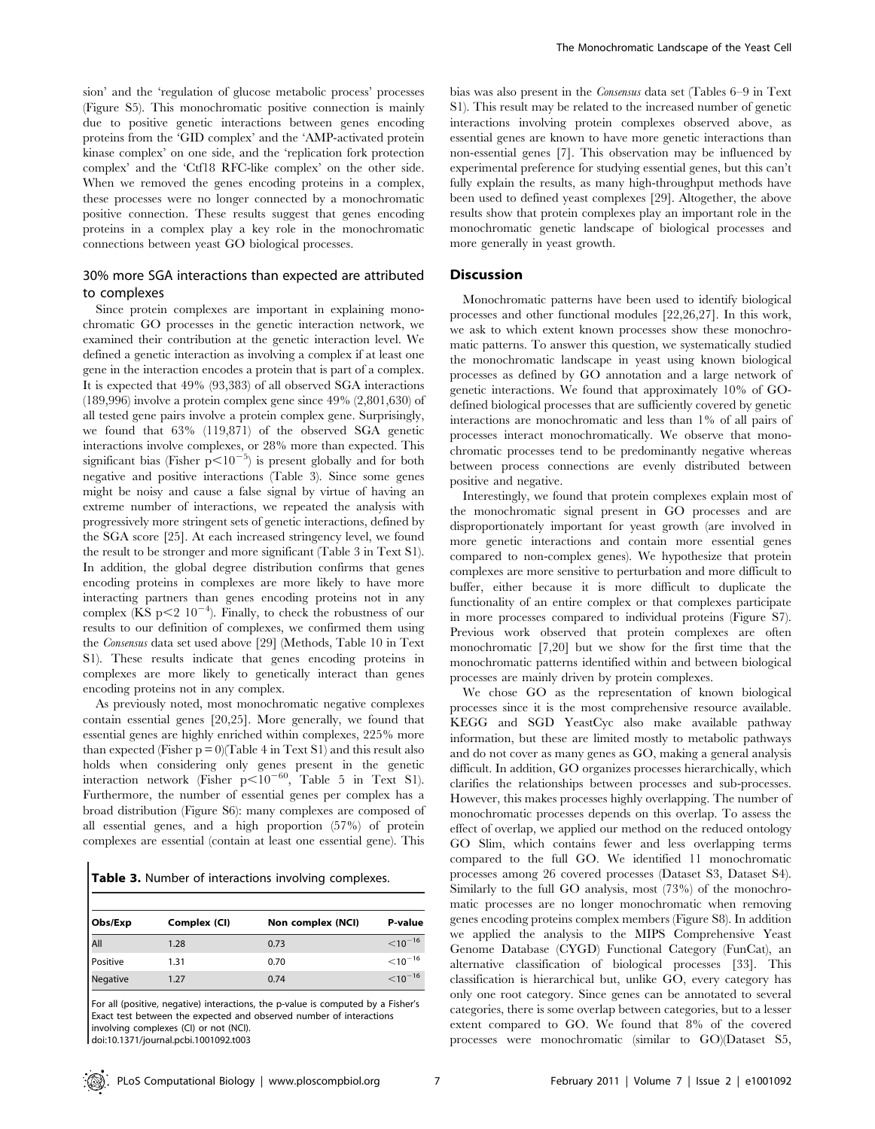sion' and the 'regulation of glucose metabolic process' processes (Figure S5). This monochromatic positive connection is mainly due to positive genetic interactions between genes encoding proteins from the 'GID complex' and the 'AMP-activated protein kinase complex' on one side, and the 'replication fork protection complex' and the 'Ctf18 RFC-like complex' on the other side. When we removed the genes encoding proteins in a complex, these processes were no longer connected by a monochromatic positive connection. These results suggest that genes encoding proteins in a complex play a key role in the monochromatic connections between yeast GO biological processes.

## 30% more SGA interactions than expected are attributed to complexes

Since protein complexes are important in explaining monochromatic GO processes in the genetic interaction network, we examined their contribution at the genetic interaction level. We defined a genetic interaction as involving a complex if at least one gene in the interaction encodes a protein that is part of a complex. It is expected that 49% (93,383) of all observed SGA interactions (189,996) involve a protein complex gene since 49% (2,801,630) of all tested gene pairs involve a protein complex gene. Surprisingly, we found that 63% (119,871) of the observed SGA genetic interactions involve complexes, or 28% more than expected. This significant bias (Fisher  $p<10^{-5}$ ) is present globally and for both negative and positive interactions (Table 3). Since some genes might be noisy and cause a false signal by virtue of having an extreme number of interactions, we repeated the analysis with progressively more stringent sets of genetic interactions, defined by the SGA score [25]. At each increased stringency level, we found the result to be stronger and more significant (Table 3 in Text S1). In addition, the global degree distribution confirms that genes encoding proteins in complexes are more likely to have more interacting partners than genes encoding proteins not in any complex (KS p<2  $10^{-4}$ ). Finally, to check the robustness of our results to our definition of complexes, we confirmed them using the Consensus data set used above [29] (Methods, Table 10 in Text S1). These results indicate that genes encoding proteins in complexes are more likely to genetically interact than genes encoding proteins not in any complex.

As previously noted, most monochromatic negative complexes contain essential genes [20,25]. More generally, we found that essential genes are highly enriched within complexes, 225% more than expected (Fisher  $p = 0$ )(Table 4 in Text S1) and this result also holds when considering only genes present in the genetic interaction network (Fisher  $p<10^{-60}$ , Table 5 in Text S1). Furthermore, the number of essential genes per complex has a broad distribution (Figure S6): many complexes are composed of all essential genes, and a high proportion (57%) of protein complexes are essential (contain at least one essential gene). This

Table 3. Number of interactions involving complexes.

| Obs/Exp  | Complex (CI) | Non complex (NCI) | P-value                            |  |
|----------|--------------|-------------------|------------------------------------|--|
| All      | 1.28         | 0.73              | $<$ 10 <sup>-16</sup>              |  |
| Positive | 1.31         | 0.70              | $<$ 10 <sup><math>-16</math></sup> |  |
| Negative | 1.27         | 0.74              | $<$ 10 <sup><math>-16</math></sup> |  |

For all (positive, negative) interactions, the p-value is computed by a Fisher's Exact test between the expected and observed number of interactions involving complexes (CI) or not (NCI). doi:10.1371/journal.pcbi.1001092.t003

bias was also present in the Consensus data set (Tables 6–9 in Text S1). This result may be related to the increased number of genetic interactions involving protein complexes observed above, as essential genes are known to have more genetic interactions than non-essential genes [7]. This observation may be influenced by experimental preference for studying essential genes, but this can't fully explain the results, as many high-throughput methods have been used to defined yeast complexes [29]. Altogether, the above results show that protein complexes play an important role in the monochromatic genetic landscape of biological processes and more generally in yeast growth.

#### **Discussion**

Monochromatic patterns have been used to identify biological processes and other functional modules [22,26,27]. In this work, we ask to which extent known processes show these monochromatic patterns. To answer this question, we systematically studied the monochromatic landscape in yeast using known biological processes as defined by GO annotation and a large network of genetic interactions. We found that approximately 10% of GOdefined biological processes that are sufficiently covered by genetic interactions are monochromatic and less than 1% of all pairs of processes interact monochromatically. We observe that monochromatic processes tend to be predominantly negative whereas between process connections are evenly distributed between positive and negative.

Interestingly, we found that protein complexes explain most of the monochromatic signal present in GO processes and are disproportionately important for yeast growth (are involved in more genetic interactions and contain more essential genes compared to non-complex genes). We hypothesize that protein complexes are more sensitive to perturbation and more difficult to buffer, either because it is more difficult to duplicate the functionality of an entire complex or that complexes participate in more processes compared to individual proteins (Figure S7). Previous work observed that protein complexes are often monochromatic [7,20] but we show for the first time that the monochromatic patterns identified within and between biological processes are mainly driven by protein complexes.

We chose GO as the representation of known biological processes since it is the most comprehensive resource available. KEGG and SGD YeastCyc also make available pathway information, but these are limited mostly to metabolic pathways and do not cover as many genes as GO, making a general analysis difficult. In addition, GO organizes processes hierarchically, which clarifies the relationships between processes and sub-processes. However, this makes processes highly overlapping. The number of monochromatic processes depends on this overlap. To assess the effect of overlap, we applied our method on the reduced ontology GO Slim, which contains fewer and less overlapping terms compared to the full GO. We identified 11 monochromatic processes among 26 covered processes (Dataset S3, Dataset S4). Similarly to the full GO analysis, most  $(73%)$  of the monochromatic processes are no longer monochromatic when removing genes encoding proteins complex members (Figure S8). In addition we applied the analysis to the MIPS Comprehensive Yeast Genome Database (CYGD) Functional Category (FunCat), an alternative classification of biological processes [33]. This classification is hierarchical but, unlike GO, every category has only one root category. Since genes can be annotated to several categories, there is some overlap between categories, but to a lesser extent compared to GO. We found that 8% of the covered processes were monochromatic (similar to GO)(Dataset S5,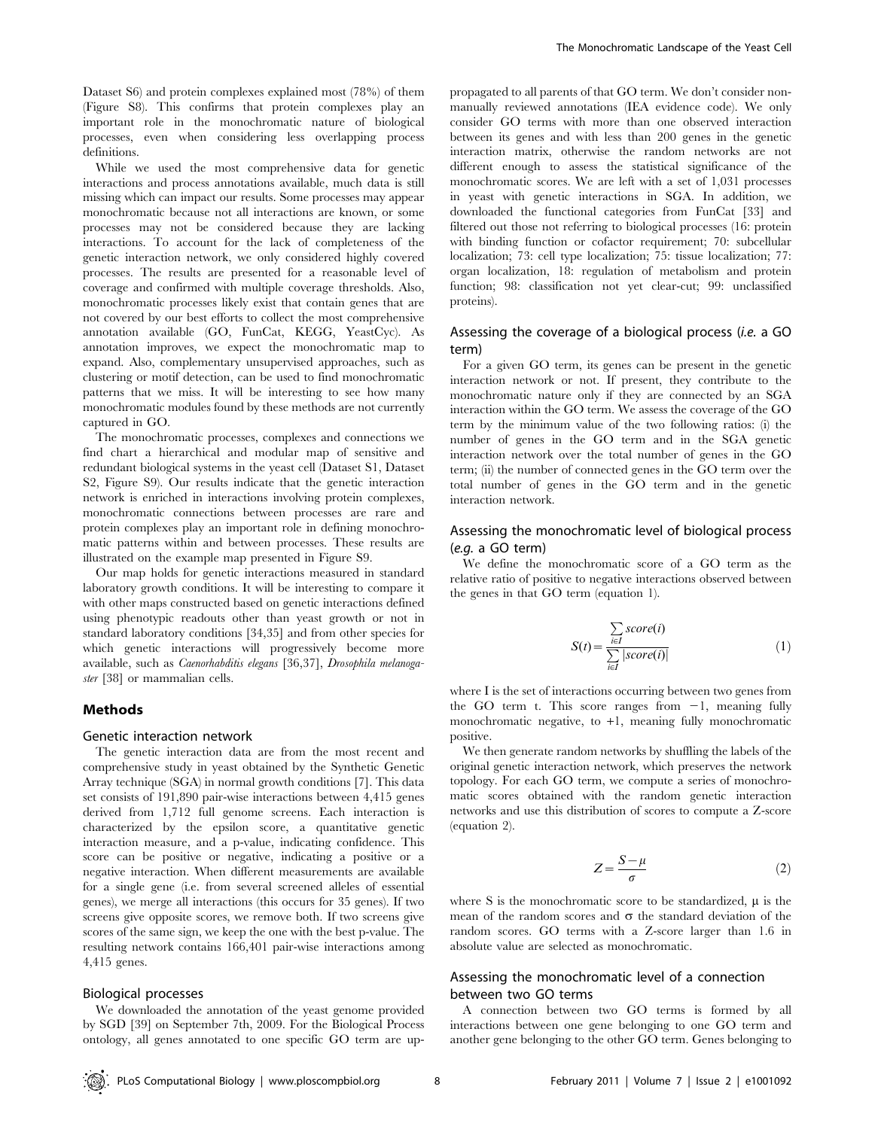Dataset S6) and protein complexes explained most (78%) of them (Figure S8). This confirms that protein complexes play an important role in the monochromatic nature of biological processes, even when considering less overlapping process definitions.

While we used the most comprehensive data for genetic interactions and process annotations available, much data is still missing which can impact our results. Some processes may appear monochromatic because not all interactions are known, or some processes may not be considered because they are lacking interactions. To account for the lack of completeness of the genetic interaction network, we only considered highly covered processes. The results are presented for a reasonable level of coverage and confirmed with multiple coverage thresholds. Also, monochromatic processes likely exist that contain genes that are not covered by our best efforts to collect the most comprehensive annotation available (GO, FunCat, KEGG, YeastCyc). As annotation improves, we expect the monochromatic map to expand. Also, complementary unsupervised approaches, such as clustering or motif detection, can be used to find monochromatic patterns that we miss. It will be interesting to see how many monochromatic modules found by these methods are not currently captured in GO.

The monochromatic processes, complexes and connections we find chart a hierarchical and modular map of sensitive and redundant biological systems in the yeast cell (Dataset S1, Dataset S2, Figure S9). Our results indicate that the genetic interaction network is enriched in interactions involving protein complexes, monochromatic connections between processes are rare and protein complexes play an important role in defining monochromatic patterns within and between processes. These results are illustrated on the example map presented in Figure S9.

Our map holds for genetic interactions measured in standard laboratory growth conditions. It will be interesting to compare it with other maps constructed based on genetic interactions defined using phenotypic readouts other than yeast growth or not in standard laboratory conditions [34,35] and from other species for which genetic interactions will progressively become more available, such as Caenorhabditis elegans [36,37], Drosophila melanogaster [38] or mammalian cells.

## Methods

#### Genetic interaction network

The genetic interaction data are from the most recent and comprehensive study in yeast obtained by the Synthetic Genetic Array technique (SGA) in normal growth conditions [7]. This data set consists of 191,890 pair-wise interactions between 4,415 genes derived from 1,712 full genome screens. Each interaction is characterized by the epsilon score, a quantitative genetic interaction measure, and a p-value, indicating confidence. This score can be positive or negative, indicating a positive or a negative interaction. When different measurements are available for a single gene (i.e. from several screened alleles of essential genes), we merge all interactions (this occurs for 35 genes). If two screens give opposite scores, we remove both. If two screens give scores of the same sign, we keep the one with the best p-value. The resulting network contains 166,401 pair-wise interactions among 4,415 genes.

#### Biological processes

We downloaded the annotation of the yeast genome provided by SGD [39] on September 7th, 2009. For the Biological Process ontology, all genes annotated to one specific GO term are uppropagated to all parents of that GO term. We don't consider nonmanually reviewed annotations (IEA evidence code). We only consider GO terms with more than one observed interaction between its genes and with less than 200 genes in the genetic interaction matrix, otherwise the random networks are not different enough to assess the statistical significance of the monochromatic scores. We are left with a set of 1,031 processes in yeast with genetic interactions in SGA. In addition, we downloaded the functional categories from FunCat [33] and filtered out those not referring to biological processes (16: protein with binding function or cofactor requirement; 70: subcellular localization; 73: cell type localization; 75: tissue localization; 77: organ localization, 18: regulation of metabolism and protein function; 98: classification not yet clear-cut; 99: unclassified proteins).

## Assessing the coverage of a biological process (i.e. a GO term)

For a given GO term, its genes can be present in the genetic interaction network or not. If present, they contribute to the monochromatic nature only if they are connected by an SGA interaction within the GO term. We assess the coverage of the GO term by the minimum value of the two following ratios: (i) the number of genes in the GO term and in the SGA genetic interaction network over the total number of genes in the GO term; (ii) the number of connected genes in the GO term over the total number of genes in the GO term and in the genetic interaction network.

## Assessing the monochromatic level of biological process (e.g. a GO term)

We define the monochromatic score of a GO term as the relative ratio of positive to negative interactions observed between the genes in that GO term (equation 1).

$$
S(t) = \frac{\sum_{i \in I} score(i)}{\sum_{i \in I} |score(i)|}
$$
 (1)

where I is the set of interactions occurring between two genes from the GO term t. This score ranges from  $-1$ , meaning fully monochromatic negative, to +1, meaning fully monochromatic positive.

We then generate random networks by shuffling the labels of the original genetic interaction network, which preserves the network topology. For each GO term, we compute a series of monochromatic scores obtained with the random genetic interaction networks and use this distribution of scores to compute a Z-score (equation 2).

$$
Z = \frac{S - \mu}{\sigma} \tag{2}
$$

where  $S$  is the monochromatic score to be standardized,  $\mu$  is the mean of the random scores and  $\sigma$  the standard deviation of the random scores. GO terms with a Z-score larger than 1.6 in absolute value are selected as monochromatic.

## Assessing the monochromatic level of a connection between two GO terms

A connection between two GO terms is formed by all interactions between one gene belonging to one GO term and another gene belonging to the other GO term. Genes belonging to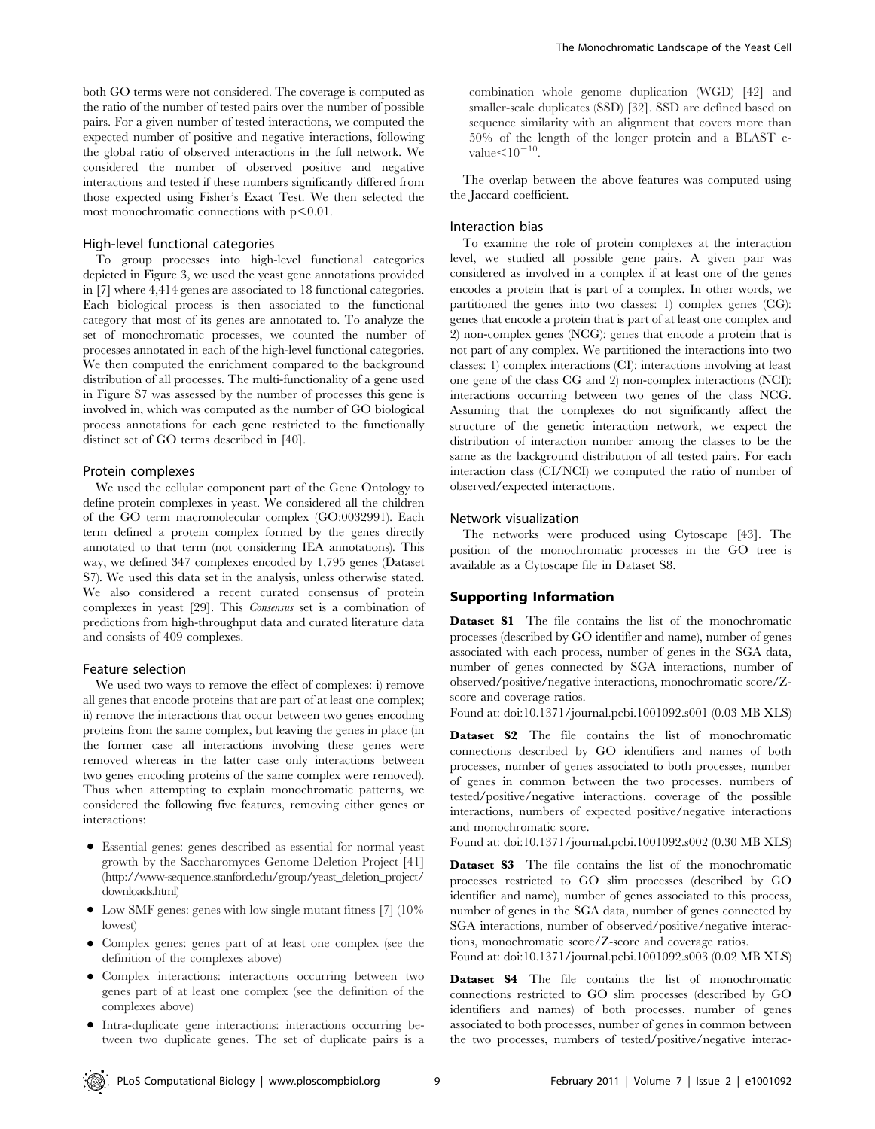both GO terms were not considered. The coverage is computed as the ratio of the number of tested pairs over the number of possible pairs. For a given number of tested interactions, we computed the expected number of positive and negative interactions, following the global ratio of observed interactions in the full network. We considered the number of observed positive and negative interactions and tested if these numbers significantly differed from those expected using Fisher's Exact Test. We then selected the most monochromatic connections with  $p<0.01$ .

#### High-level functional categories

To group processes into high-level functional categories depicted in Figure 3, we used the yeast gene annotations provided in [7] where 4,414 genes are associated to 18 functional categories. Each biological process is then associated to the functional category that most of its genes are annotated to. To analyze the set of monochromatic processes, we counted the number of processes annotated in each of the high-level functional categories. We then computed the enrichment compared to the background distribution of all processes. The multi-functionality of a gene used in Figure S7 was assessed by the number of processes this gene is involved in, which was computed as the number of GO biological process annotations for each gene restricted to the functionally distinct set of GO terms described in [40].

#### Protein complexes

We used the cellular component part of the Gene Ontology to define protein complexes in yeast. We considered all the children of the GO term macromolecular complex (GO:0032991). Each term defined a protein complex formed by the genes directly annotated to that term (not considering IEA annotations). This way, we defined 347 complexes encoded by 1,795 genes (Dataset S7). We used this data set in the analysis, unless otherwise stated. We also considered a recent curated consensus of protein complexes in yeast [29]. This Consensus set is a combination of predictions from high-throughput data and curated literature data and consists of 409 complexes.

#### Feature selection

We used two ways to remove the effect of complexes: i) remove all genes that encode proteins that are part of at least one complex; ii) remove the interactions that occur between two genes encoding proteins from the same complex, but leaving the genes in place (in the former case all interactions involving these genes were removed whereas in the latter case only interactions between two genes encoding proteins of the same complex were removed). Thus when attempting to explain monochromatic patterns, we considered the following five features, removing either genes or interactions:

- N Essential genes: genes described as essential for normal yeast growth by the Saccharomyces Genome Deletion Project [41] (http://www-sequence.stanford.edu/group/yeast\_deletion\_project/ downloads.html)
- $\bullet$  Low SMF genes: genes with low single mutant fitness [7] (10%) lowest)
- Complex genes: genes part of at least one complex (see the definition of the complexes above)
- N Complex interactions: interactions occurring between two genes part of at least one complex (see the definition of the complexes above)
- N Intra-duplicate gene interactions: interactions occurring between two duplicate genes. The set of duplicate pairs is a

combination whole genome duplication (WGD) [42] and smaller-scale duplicates (SSD) [32]. SSD are defined based on sequence similarity with an alignment that covers more than 50% of the length of the longer protein and a BLAST evalue $<$  $10^{-10}$ 

The overlap between the above features was computed using the Jaccard coefficient.

#### Interaction bias

To examine the role of protein complexes at the interaction level, we studied all possible gene pairs. A given pair was considered as involved in a complex if at least one of the genes encodes a protein that is part of a complex. In other words, we partitioned the genes into two classes: 1) complex genes (CG): genes that encode a protein that is part of at least one complex and 2) non-complex genes (NCG): genes that encode a protein that is not part of any complex. We partitioned the interactions into two classes: 1) complex interactions (CI): interactions involving at least one gene of the class CG and 2) non-complex interactions (NCI): interactions occurring between two genes of the class NCG. Assuming that the complexes do not significantly affect the structure of the genetic interaction network, we expect the distribution of interaction number among the classes to be the same as the background distribution of all tested pairs. For each interaction class (CI/NCI) we computed the ratio of number of observed/expected interactions.

#### Network visualization

The networks were produced using Cytoscape [43]. The position of the monochromatic processes in the GO tree is available as a Cytoscape file in Dataset S8.

#### Supporting Information

Dataset S1 The file contains the list of the monochromatic processes (described by GO identifier and name), number of genes associated with each process, number of genes in the SGA data, number of genes connected by SGA interactions, number of observed/positive/negative interactions, monochromatic score/Zscore and coverage ratios.

Found at: doi:10.1371/journal.pcbi.1001092.s001 (0.03 MB XLS)

Dataset S2 The file contains the list of monochromatic connections described by GO identifiers and names of both processes, number of genes associated to both processes, number of genes in common between the two processes, numbers of tested/positive/negative interactions, coverage of the possible interactions, numbers of expected positive/negative interactions and monochromatic score.

Found at: doi:10.1371/journal.pcbi.1001092.s002 (0.30 MB XLS)

Dataset S3 The file contains the list of the monochromatic processes restricted to GO slim processes (described by GO identifier and name), number of genes associated to this process, number of genes in the SGA data, number of genes connected by SGA interactions, number of observed/positive/negative interactions, monochromatic score/Z-score and coverage ratios.

Found at: doi:10.1371/journal.pcbi.1001092.s003 (0.02 MB XLS)

Dataset S4 The file contains the list of monochromatic connections restricted to GO slim processes (described by GO identifiers and names) of both processes, number of genes associated to both processes, number of genes in common between the two processes, numbers of tested/positive/negative interac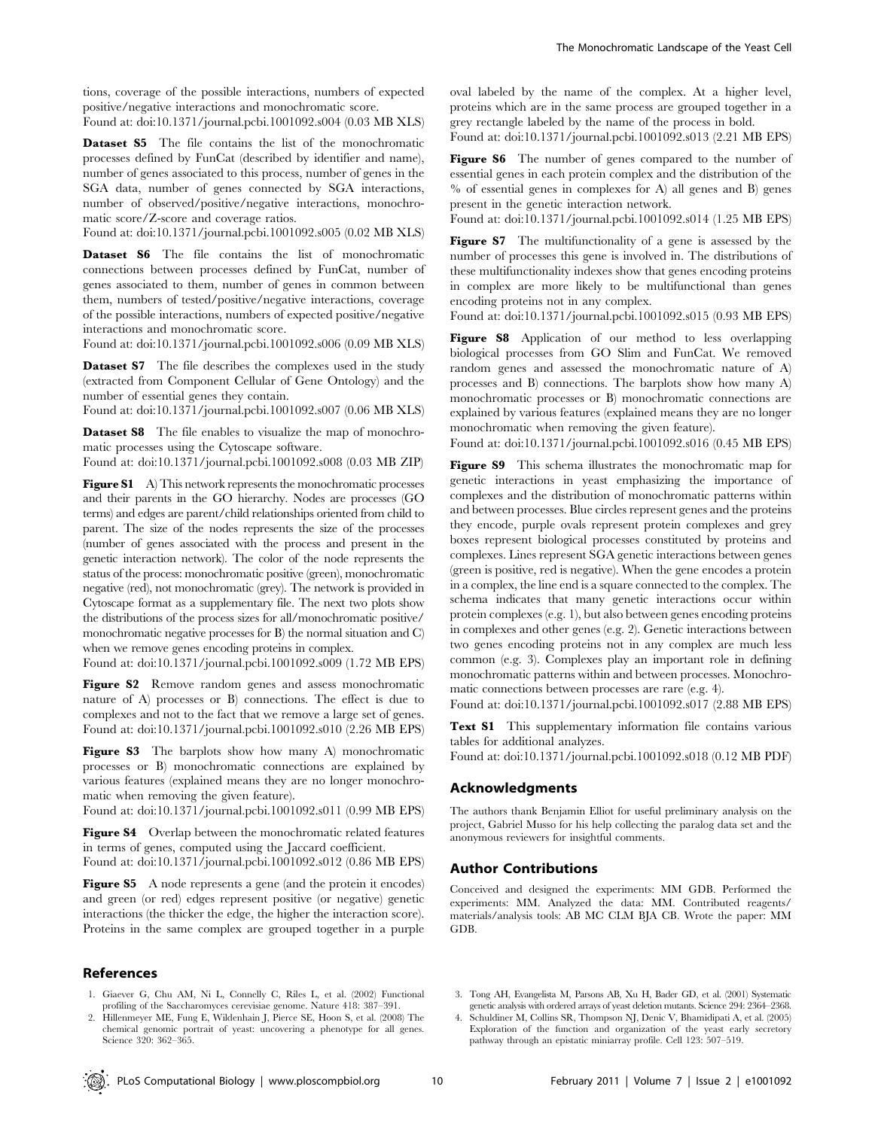tions, coverage of the possible interactions, numbers of expected positive/negative interactions and monochromatic score.

Found at: doi:10.1371/journal.pcbi.1001092.s004 (0.03 MB XLS)

Dataset S5 The file contains the list of the monochromatic processes defined by FunCat (described by identifier and name), number of genes associated to this process, number of genes in the SGA data, number of genes connected by SGA interactions, number of observed/positive/negative interactions, monochromatic score/Z-score and coverage ratios.

Found at: doi:10.1371/journal.pcbi.1001092.s005 (0.02 MB XLS)

Dataset S6 The file contains the list of monochromatic connections between processes defined by FunCat, number of genes associated to them, number of genes in common between them, numbers of tested/positive/negative interactions, coverage of the possible interactions, numbers of expected positive/negative interactions and monochromatic score.

Found at: doi:10.1371/journal.pcbi.1001092.s006 (0.09 MB XLS)

Dataset S7 The file describes the complexes used in the study (extracted from Component Cellular of Gene Ontology) and the number of essential genes they contain.

Found at: doi:10.1371/journal.pcbi.1001092.s007 (0.06 MB XLS)

**Dataset S8** The file enables to visualize the map of monochromatic processes using the Cytoscape software.

Found at: doi:10.1371/journal.pcbi.1001092.s008 (0.03 MB ZIP)

Figure S1 A) This network represents the monochromatic processes and their parents in the GO hierarchy. Nodes are processes (GO terms) and edges are parent/child relationships oriented from child to parent. The size of the nodes represents the size of the processes (number of genes associated with the process and present in the genetic interaction network). The color of the node represents the status of the process: monochromatic positive (green), monochromatic negative (red), not monochromatic (grey). The network is provided in Cytoscape format as a supplementary file. The next two plots show the distributions of the process sizes for all/monochromatic positive/ monochromatic negative processes for B) the normal situation and C) when we remove genes encoding proteins in complex.

Found at: doi:10.1371/journal.pcbi.1001092.s009 (1.72 MB EPS)

Figure S2 Remove random genes and assess monochromatic nature of A) processes or B) connections. The effect is due to complexes and not to the fact that we remove a large set of genes. Found at: doi:10.1371/journal.pcbi.1001092.s010 (2.26 MB EPS)

**Figure S3** The barplots show how many A) monochromatic processes or B) monochromatic connections are explained by various features (explained means they are no longer monochromatic when removing the given feature).

Found at: doi:10.1371/journal.pcbi.1001092.s011 (0.99 MB EPS)

Figure S4 Overlap between the monochromatic related features in terms of genes, computed using the Jaccard coefficient. Found at: doi:10.1371/journal.pcbi.1001092.s012 (0.86 MB EPS)

**Figure S5** A node represents a gene (and the protein it encodes) and green (or red) edges represent positive (or negative) genetic interactions (the thicker the edge, the higher the interaction score). Proteins in the same complex are grouped together in a purple

#### References

- 1. Giaever G, Chu AM, Ni L, Connelly C, Riles L, et al. (2002) Functional profiling of the Saccharomyces cerevisiae genome. Nature 418: 387–391.
- 2. Hillenmeyer ME, Fung E, Wildenhain J, Pierce SE, Hoon S, et al. (2008) The chemical genomic portrait of yeast: uncovering a phenotype for all genes. Science 320: 362–365.

oval labeled by the name of the complex. At a higher level, proteins which are in the same process are grouped together in a grey rectangle labeled by the name of the process in bold. Found at: doi:10.1371/journal.pcbi.1001092.s013 (2.21 MB EPS)

Figure S6 The number of genes compared to the number of essential genes in each protein complex and the distribution of the % of essential genes in complexes for A) all genes and B) genes present in the genetic interaction network.

Found at: doi:10.1371/journal.pcbi.1001092.s014 (1.25 MB EPS)

Figure S7 The multifunctionality of a gene is assessed by the number of processes this gene is involved in. The distributions of these multifunctionality indexes show that genes encoding proteins in complex are more likely to be multifunctional than genes encoding proteins not in any complex.

Found at: doi:10.1371/journal.pcbi.1001092.s015 (0.93 MB EPS)

Figure S8 Application of our method to less overlapping biological processes from GO Slim and FunCat. We removed random genes and assessed the monochromatic nature of A) processes and B) connections. The barplots show how many A) monochromatic processes or B) monochromatic connections are explained by various features (explained means they are no longer monochromatic when removing the given feature).

Found at: doi:10.1371/journal.pcbi.1001092.s016 (0.45 MB EPS)

Figure S9 This schema illustrates the monochromatic map for genetic interactions in yeast emphasizing the importance of complexes and the distribution of monochromatic patterns within and between processes. Blue circles represent genes and the proteins they encode, purple ovals represent protein complexes and grey boxes represent biological processes constituted by proteins and complexes. Lines represent SGA genetic interactions between genes (green is positive, red is negative). When the gene encodes a protein in a complex, the line end is a square connected to the complex. The schema indicates that many genetic interactions occur within protein complexes (e.g. 1), but also between genes encoding proteins in complexes and other genes (e.g. 2). Genetic interactions between two genes encoding proteins not in any complex are much less common (e.g. 3). Complexes play an important role in defining monochromatic patterns within and between processes. Monochromatic connections between processes are rare (e.g. 4).

Found at: doi:10.1371/journal.pcbi.1001092.s017 (2.88 MB EPS)

Text S1 This supplementary information file contains various tables for additional analyzes.

Found at: doi:10.1371/journal.pcbi.1001092.s018 (0.12 MB PDF)

#### Acknowledgments

The authors thank Benjamin Elliot for useful preliminary analysis on the project, Gabriel Musso for his help collecting the paralog data set and the anonymous reviewers for insightful comments.

#### Author Contributions

Conceived and designed the experiments: MM GDB. Performed the experiments: MM. Analyzed the data: MM. Contributed reagents/ materials/analysis tools: AB MC CLM BJA CB. Wrote the paper: MM GDB.

- 3. Tong AH, Evangelista M, Parsons AB, Xu H, Bader GD, et al. (2001) Systematic genetic analysis with ordered arrays of yeast deletion mutants. Science 294: 2364–2368.
- 4. Schuldiner M, Collins SR, Thompson NJ, Denic V, Bhamidipati A, et al. (2005) Exploration of the function and organization of the yeast early secretory pathway through an epistatic miniarray profile. Cell 123: 507–519.